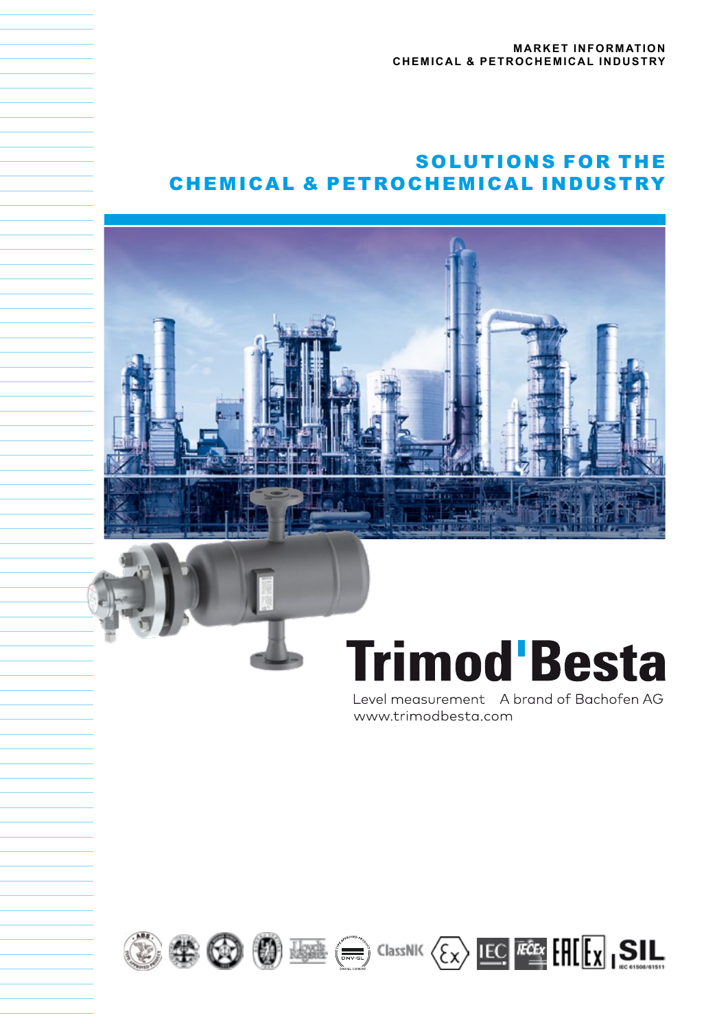# SOLUTIONS FOR THE CHEMICAL & PETROCHEMICAL INDUSTRY



# **Trimod'Besta**

Level measurement A brand of Bachofen AG www.trimodbesta.com







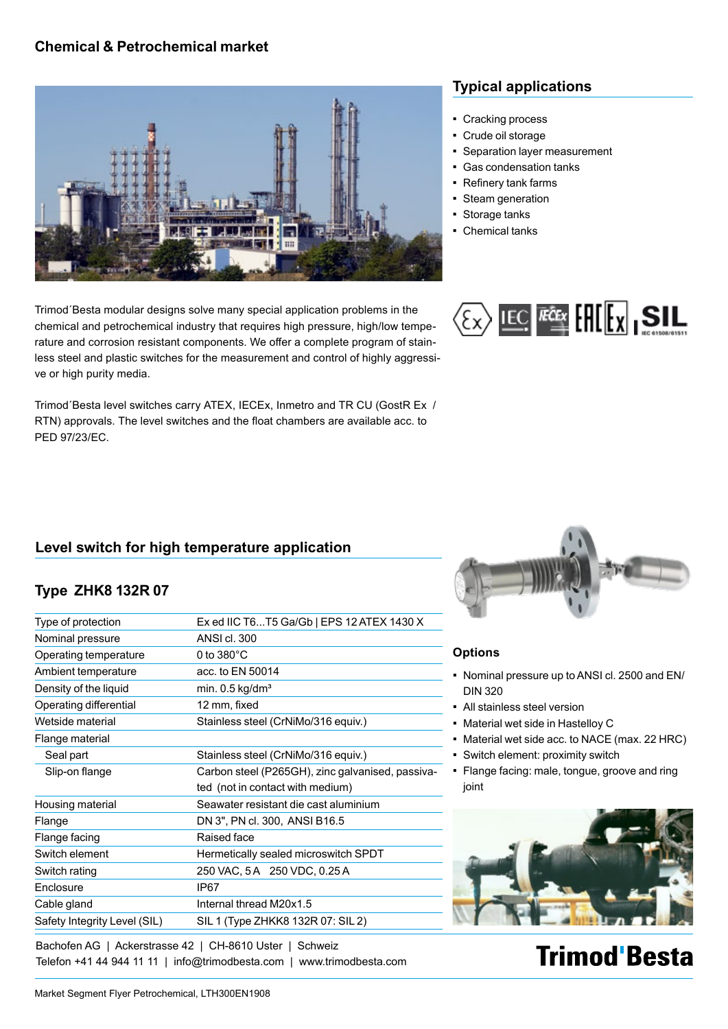## **Chemical & Petrochemical market**



Trimod´Besta modular designs solve many special application problems in the chemical and petrochemical industry that requires high pressure, high/low temperature and corrosion resistant components. We offer a complete program of stainless steel and plastic switches for the measurement and control of highly aggressive or high purity media.

Trimod´Besta level switches carry ATEX, IECEx, Inmetro and TR CU (GostR Ex / RTN) approvals. The level switches and the float chambers are available acc. to PED 97/23/EC.

# **Typical applications**

- Cracking process
- Crude oil storage
- Separation layer measurement
- Gas condensation tanks
- Refinery tank farms
- Steam generation
- Storage tanks
- Chemical tanks



# **Level switch for high temperature application**

# **Type ZHK8 132R 07**

| Type of protection           | Ex ed IIC T6T5 Ga/Gb   EPS 12 ATEX 1430 X        |
|------------------------------|--------------------------------------------------|
| Nominal pressure             | ANSI cl. 300                                     |
| Operating temperature        | 0 to $380^{\circ}$ C                             |
| Ambient temperature          | acc. to EN 50014                                 |
| Density of the liquid        | min. $0.5$ kg/dm <sup>3</sup>                    |
| Operating differential       | 12 mm, fixed                                     |
| Wetside material             | Stainless steel (CrNiMo/316 equiv.)              |
| Flange material              |                                                  |
| Seal part                    | Stainless steel (CrNiMo/316 equiv.)              |
| Slip-on flange               | Carbon steel (P265GH), zinc galvanised, passiva- |
|                              | ted (not in contact with medium)                 |
| Housing material             | Seawater resistant die cast aluminium            |
| Flange                       | DN 3", PN cl. 300, ANSI B16.5                    |
| Flange facing                | Raised face                                      |
| Switch element               | Hermetically sealed microswitch SPDT             |
| Switch rating                | 250 VAC, 5A 250 VDC, 0.25A                       |
| <b>Fnclosure</b>             | IP67                                             |
| Cable gland                  | Internal thread M20x1.5                          |
| Safety Integrity Level (SIL) | SIL 1 (Type ZHKK8 132R 07: SIL 2)                |
|                              |                                                  |

Bachofen AG | Ackerstrasse 42 | CH-8610 Uster | Schweiz Telefon +41 44 944 11 11 | info@trimodbesta.com | www.trimodbesta.com



#### **Options**

- Nominal pressure up to ANSI cl. 2500 and EN/ DIN 320
- All stainless steel version
- Material wet side in Hastelloy C
- Material wet side acc. to NACE (max. 22 HRC)
- **Switch element: proximity switch**
- Flange facing: male, tongue, groove and ring joint



# **Trimod Besta**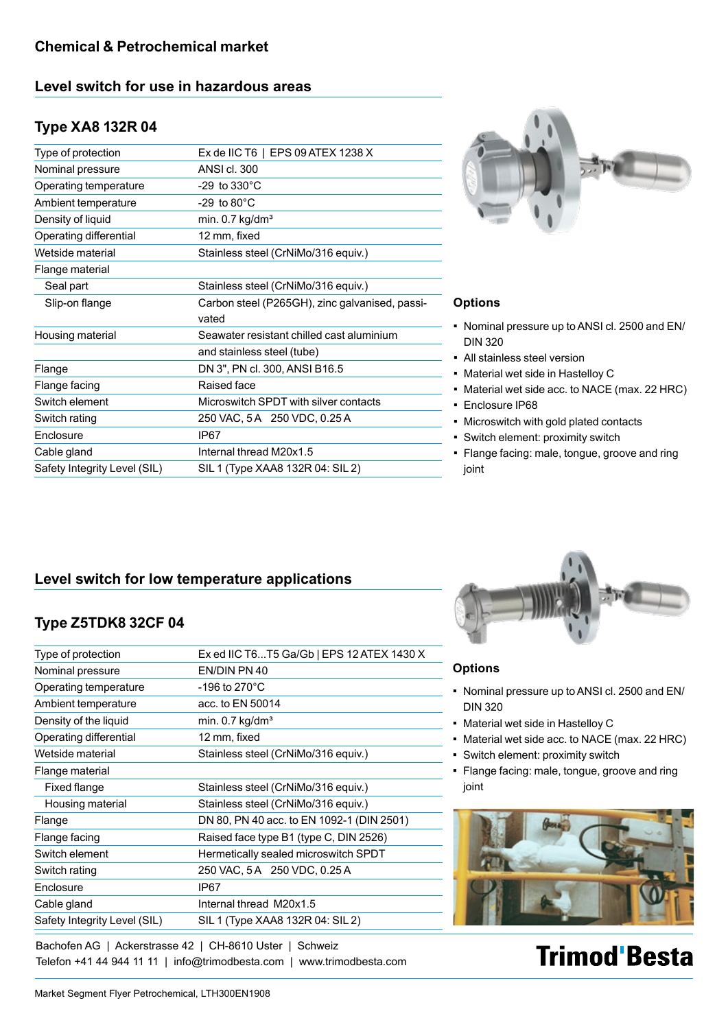### **Level switch for use in hazardous areas**

## **Type XA8 132R 04**

| Type of protection           | Ex de IIC T6   EPS 09 ATEX 1238 X              |
|------------------------------|------------------------------------------------|
| Nominal pressure             | ANSI cl. 300                                   |
| Operating temperature        | $-29$ to $330^{\circ}$ C                       |
| Ambient temperature          | $-29$ to $80^{\circ}$ C                        |
| Density of liquid            | min. $0.7$ kg/dm <sup>3</sup>                  |
| Operating differential       | 12 mm, fixed                                   |
| Wetside material             | Stainless steel (CrNiMo/316 equiv.)            |
| Flange material              |                                                |
| Seal part                    | Stainless steel (CrNiMo/316 equiv.)            |
| Slip-on flange               | Carbon steel (P265GH), zinc galvanised, passi- |
|                              | vated                                          |
| Housing material             | Seawater resistant chilled cast aluminium      |
|                              | and stainless steel (tube)                     |
| Flange                       | DN 3", PN cl. 300, ANSI B16.5                  |
| Flange facing                | Raised face                                    |
| Switch element               | Microswitch SPDT with silver contacts          |
| Switch rating                | 250 VAC, 5 A 250 VDC, 0.25 A                   |
| Enclosure                    | IP67                                           |
| Cable gland                  | Internal thread M20x1.5                        |
| Safety Integrity Level (SIL) | SIL 1 (Type XAA8 132R 04: SIL 2)               |
|                              |                                                |



#### **Options**

- Nominal pressure up to ANSI cl. 2500 and EN/ DIN 320
- All stainless steel version
- Material wet side in Hastelloy C
- Material wet side acc. to NACE (max. 22 HRC)
- Enclosure IP68
- Microswitch with gold plated contacts
- Switch element: proximity switch
- Flange facing: male, tongue, groove and ring joint

# **Level switch for low temperature applications**

# **Type Z5TDK8 32CF 04**

| Type of protection           | Ex ed IIC T6T5 Ga/Gb   EPS 12 ATEX 1430 X |
|------------------------------|-------------------------------------------|
| Nominal pressure             | EN/DIN PN 40                              |
| Operating temperature        | -196 to 270 $^{\circ}$ C                  |
| Ambient temperature          | acc. to EN 50014                          |
| Density of the liquid        | min. $0.7$ kg/dm <sup>3</sup>             |
| Operating differential       | 12 mm, fixed                              |
| Wetside material             | Stainless steel (CrNiMo/316 equiv.)       |
| Flange material              |                                           |
| Fixed flange                 | Stainless steel (CrNiMo/316 equiv.)       |
| Housing material             | Stainless steel (CrNiMo/316 equiv.)       |
| Flange                       | DN 80, PN 40 acc. to EN 1092-1 (DIN 2501) |
| Flange facing                | Raised face type B1 (type C, DIN 2526)    |
| Switch element               | Hermetically sealed microswitch SPDT      |
| Switch rating                | 250 VAC, 5 A 250 VDC, 0.25 A              |
| Enclosure                    | IP67                                      |
| Cable gland                  | Internal thread M20x1.5                   |
| Safety Integrity Level (SIL) | SIL 1 (Type XAA8 132R 04: SIL 2)          |
|                              |                                           |

Bachofen AG | Ackerstrasse 42 | CH-8610 Uster | Schweiz Telefon +41 44 944 11 11 | info@trimodbesta.com | www.trimodbesta.com



#### **Options**

- Nominal pressure up to ANSI cl. 2500 and EN/ DIN 320
- Material wet side in Hastelloy C
- Material wet side acc. to NACE (max. 22 HRC)
- Switch element: proximity switch
- Flange facing: male, tongue, groove and ring joint



# **Trimod'Besta**